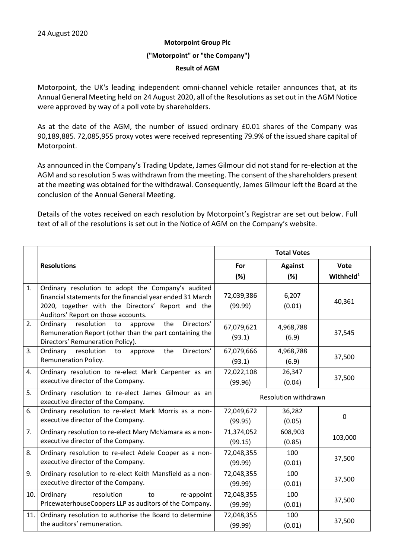## **Motorpoint Group Plc**

#### **("Motorpoint" or "the Company")**

#### **Result of AGM**

Motorpoint, the UK's leading independent omni-channel vehicle retailer announces that, at its Annual General Meeting held on 24 August 2020, all of the Resolutions as set out in the AGM Notice were approved by way of a poll vote by shareholders.

As at the date of the AGM, the number of issued ordinary £0.01 shares of the Company was 90,189,885. 72,085,955 proxy votes were received representing 79.9% of the issued share capital of Motorpoint.

As announced in the Company's Trading Update, James Gilmour did not stand for re-election at the AGM and so resolution 5 was withdrawn from the meeting. The consent of the shareholders present at the meeting was obtained for the withdrawal. Consequently, James Gilmour left the Board at the conclusion of the Annual General Meeting.

Details of the votes received on each resolution by Motorpoint's Registrar are set out below. Full text of all of the resolutions is set out in the Notice of AGM on the Company's website.

|     |                                                                                                                                                                                                              | <b>Total Votes</b>    |                    |                       |
|-----|--------------------------------------------------------------------------------------------------------------------------------------------------------------------------------------------------------------|-----------------------|--------------------|-----------------------|
|     | <b>Resolutions</b>                                                                                                                                                                                           | For                   | <b>Against</b>     | <b>Vote</b>           |
|     |                                                                                                                                                                                                              | (%)                   | (%)                | Withheld <sup>1</sup> |
| 1.  | Ordinary resolution to adopt the Company's audited<br>financial statements for the financial year ended 31 March<br>2020, together with the Directors' Report and the<br>Auditors' Report on those accounts. | 72,039,386<br>(99.99) | 6,207<br>(0.01)    | 40,361                |
| 2.  | Directors'<br>resolution<br>the<br>Ordinary<br>to<br>approve<br>Remuneration Report (other than the part containing the<br>Directors' Remuneration Policy).                                                  | 67,079,621<br>(93.1)  | 4,968,788<br>(6.9) | 37,545                |
| 3.  | Directors'<br>Ordinary<br>resolution<br>to approve<br>the<br>Remuneration Policy.                                                                                                                            | 67,079,666<br>(93.1)  | 4,968,788<br>(6.9) | 37,500                |
| 4.  | Ordinary resolution to re-elect Mark Carpenter as an<br>executive director of the Company.                                                                                                                   | 72,022,108<br>(99.96) | 26,347<br>(0.04)   | 37,500                |
| 5.  | Ordinary resolution to re-elect James Gilmour as an<br>executive director of the Company.                                                                                                                    | Resolution withdrawn  |                    |                       |
| 6.  | Ordinary resolution to re-elect Mark Morris as a non-<br>executive director of the Company.                                                                                                                  | 72,049,672<br>(99.95) | 36,282<br>(0.05)   | 0                     |
| 7.  | Ordinary resolution to re-elect Mary McNamara as a non-<br>executive director of the Company.                                                                                                                | 71,374,052<br>(99.15) | 608,903<br>(0.85)  | 103,000               |
| 8.  | Ordinary resolution to re-elect Adele Cooper as a non-<br>executive director of the Company.                                                                                                                 | 72,048,355<br>(99.99) | 100<br>(0.01)      | 37,500                |
| 9.  | Ordinary resolution to re-elect Keith Mansfield as a non-<br>executive director of the Company.                                                                                                              | 72,048,355<br>(99.99) | 100<br>(0.01)      | 37,500                |
| 10. | resolution<br>Ordinary<br>re-appoint<br>to<br>PricewaterhouseCoopers LLP as auditors of the Company.                                                                                                         | 72,048,355<br>(99.99) | 100<br>(0.01)      | 37,500                |
| 11. | Ordinary resolution to authorise the Board to determine<br>the auditors' remuneration.                                                                                                                       | 72,048,355<br>(99.99) | 100<br>(0.01)      | 37,500                |